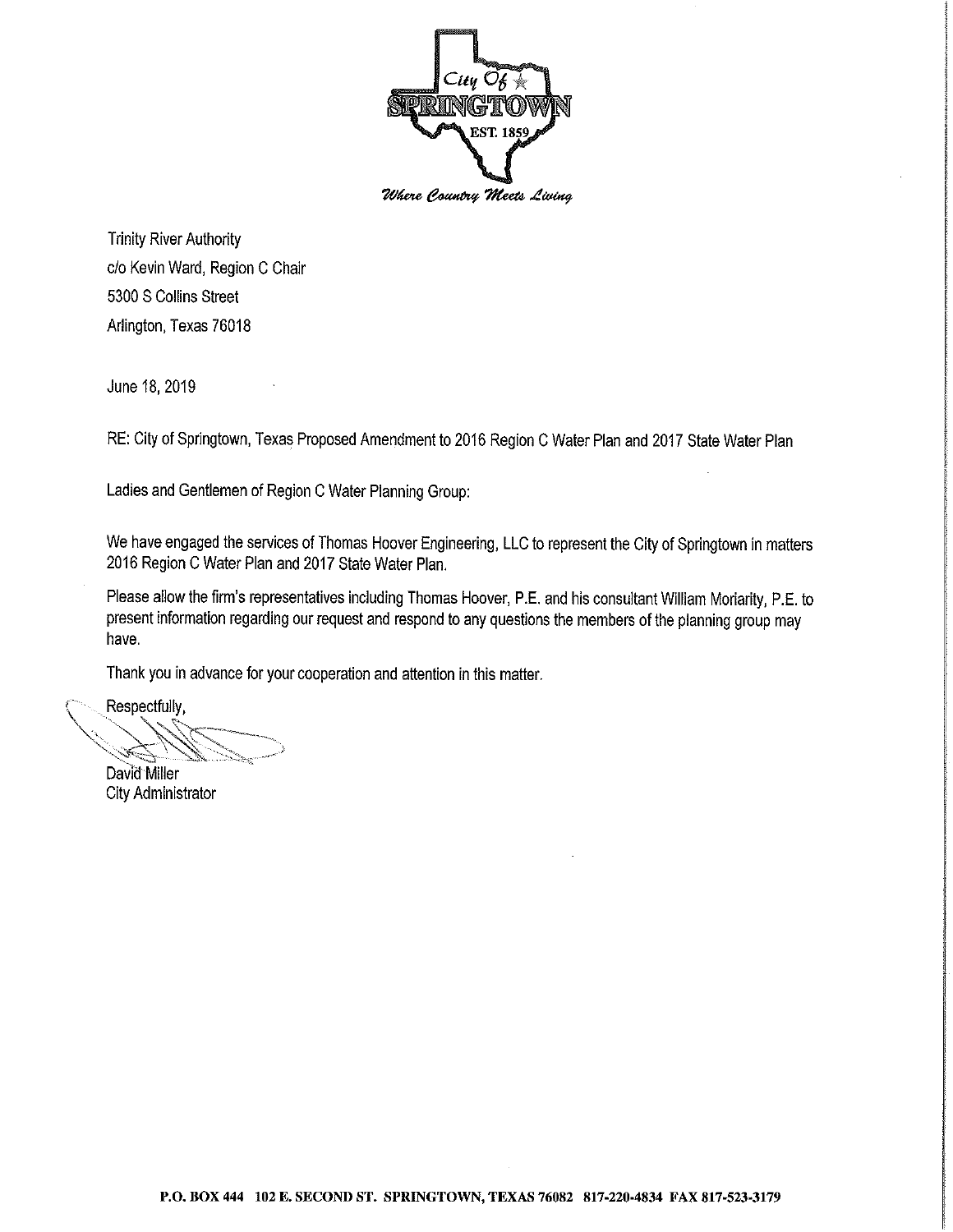

**Trinity River Authority** c/o Kevin Ward, Region C Chair 5300 S Collins Street Arlington, Texas 76018

June 18, 2019

RE: City of Springtown, Texas Proposed Amendment to 2016 Region C Water Plan and 2017 State Water Plan

Ladies and Gentlemen of Region C Water Planning Group:

We have engaged the services of Thomas Hoover Engineering, LLC to represent the City of Springtown in matters 2016 Region C Water Plan and 2017 State Water Plan.

Please allow the firm's representatives including Thomas Hoover, P.E. and his consultant William Moriarity, P.E. to present information regarding our request and respond to any questions the members of the planning group may have.

Thank you in advance for your cooperation and attention in this matter.

Respectfully,

David Miller

**City Administrator**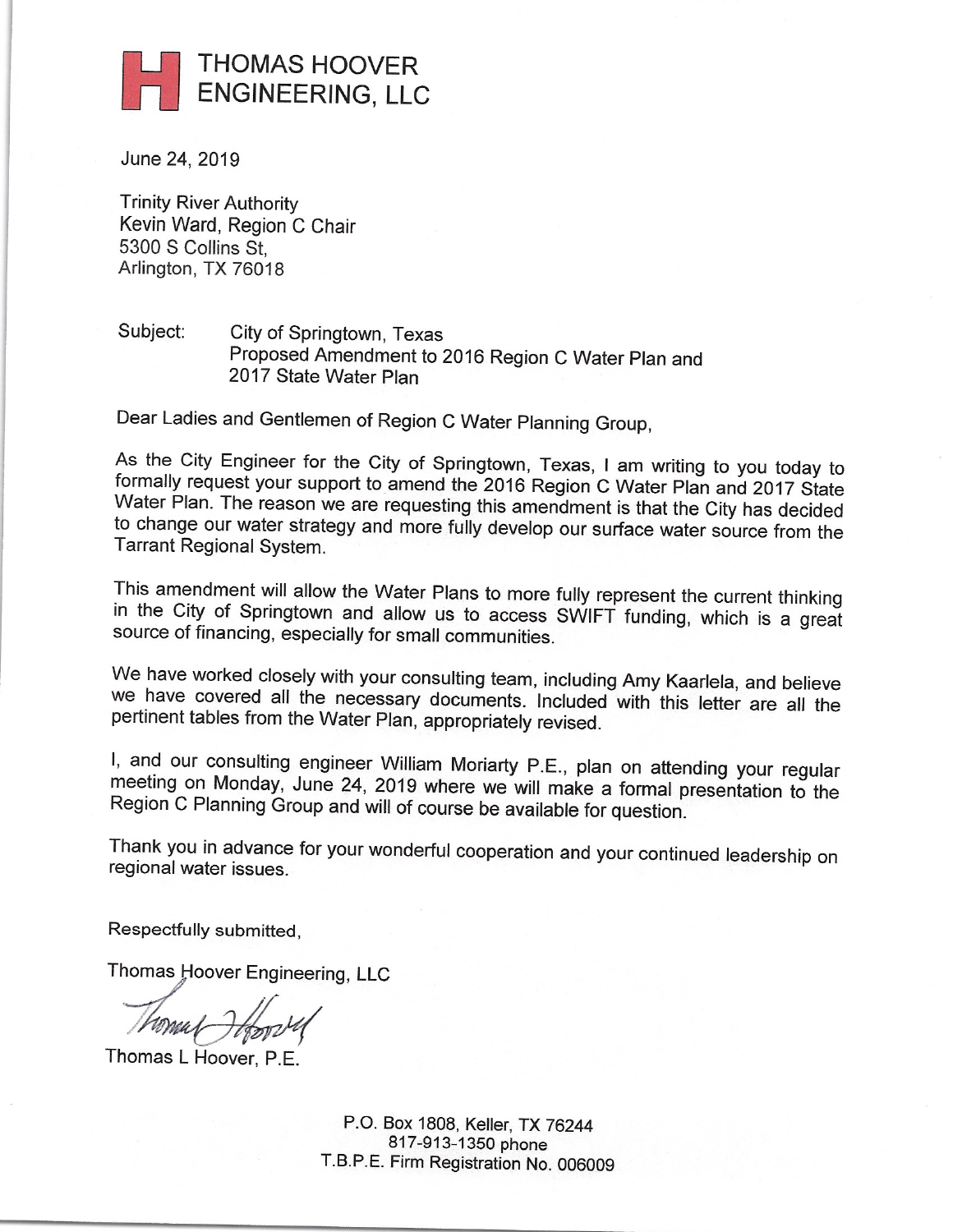

June 24, 2019

**Trinity River Authority** Kevin Ward, Region C Chair 5300 S Collins St. Arlington, TX 76018

#### Subject: City of Springtown, Texas Proposed Amendment to 2016 Region C Water Plan and 2017 State Water Plan

Dear Ladies and Gentlemen of Region C Water Planning Group,

As the City Engineer for the City of Springtown, Texas, I am writing to you today to formally request your support to amend the 2016 Region C Water Plan and 2017 State Water Plan. The reason we are requesting this amendment is that the City has decided to change our water strategy and more fully develop our surface water source from the Tarrant Regional System.

This amendment will allow the Water Plans to more fully represent the current thinking in the City of Springtown and allow us to access SWIFT funding, which is a great source of financing, especially for small communities.

We have worked closely with your consulting team, including Amy Kaarlela, and believe we have covered all the necessary documents. Included with this letter are all the pertinent tables from the Water Plan, appropriately revised.

I, and our consulting engineer William Moriarty P.E., plan on attending your regular meeting on Monday, June 24, 2019 where we will make a formal presentation to the Region C Planning Group and will of course be available for question.

Thank you in advance for your wonderful cooperation and your continued leadership on regional water issues.

Respectfully submitted,

Thomas Hoover Engineering, LLC

Thomas L Hoover, P.E.

P.O. Box 1808, Keller, TX 76244 817-913-1350 phone T.B.P.E. Firm Registration No. 006009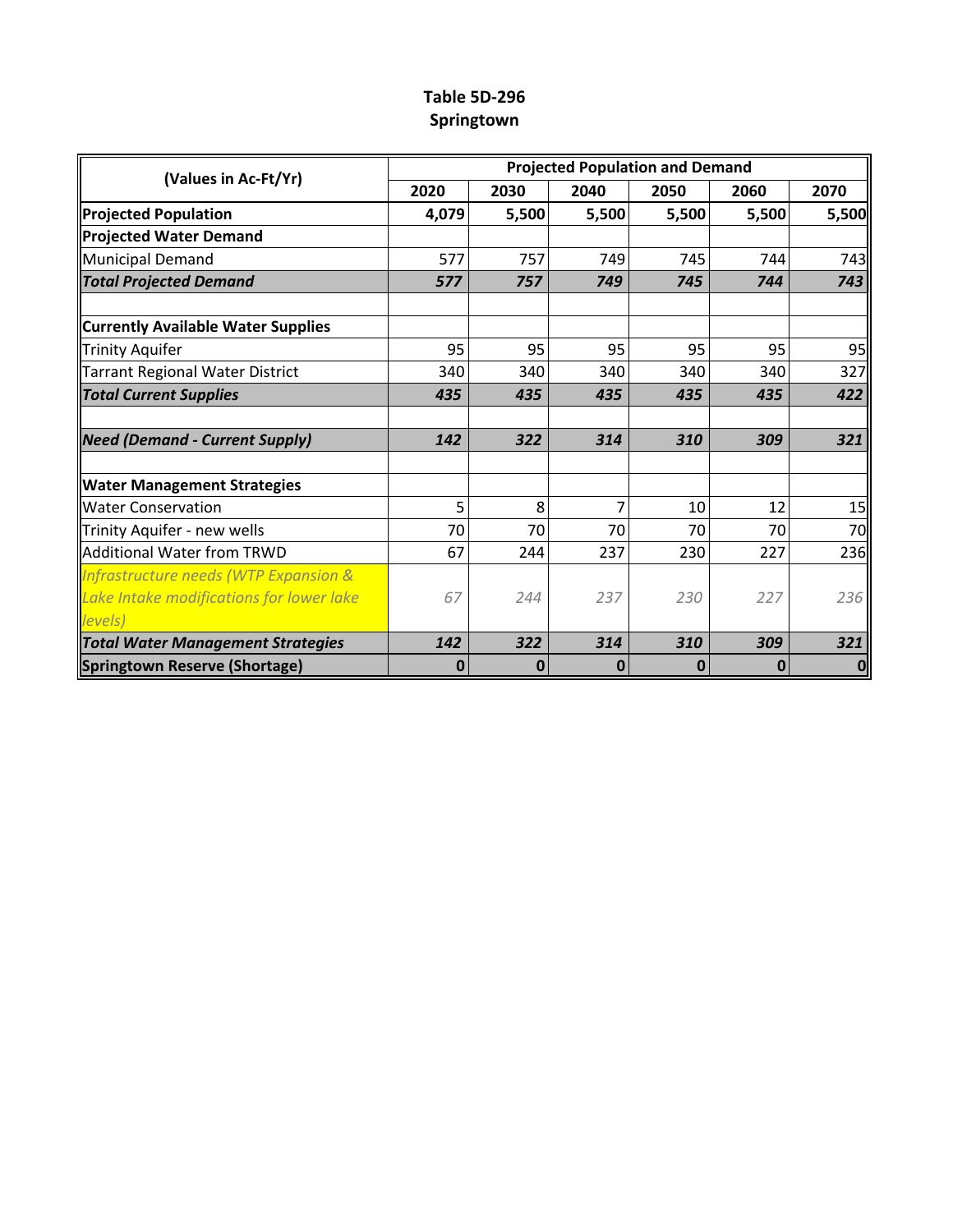### **Table 5D-296 Springtown**

|                                           | <b>Projected Population and Demand</b> |                |      |       |             |       |  |  |  |  |  |
|-------------------------------------------|----------------------------------------|----------------|------|-------|-------------|-------|--|--|--|--|--|
| (Values in Ac-Ft/Yr)                      | 2020                                   | 2030           | 2040 | 2050  | 2060        | 2070  |  |  |  |  |  |
| <b>Projected Population</b>               | 4,079                                  | 5,500<br>5,500 |      | 5,500 | 5,500       | 5,500 |  |  |  |  |  |
| <b>Projected Water Demand</b>             |                                        |                |      |       |             |       |  |  |  |  |  |
| <b>Municipal Demand</b>                   | 577                                    | 757            | 749  | 745   | 744         | 743   |  |  |  |  |  |
| <b>Total Projected Demand</b>             | 577                                    | 757            | 749  | 745   | 744         | 743   |  |  |  |  |  |
| <b>Currently Available Water Supplies</b> |                                        |                |      |       |             |       |  |  |  |  |  |
| Trinity Aquifer                           | 95                                     | 95             | 95   | 95    | 95          | 95    |  |  |  |  |  |
| Tarrant Regional Water District           | 340                                    | 340            | 340  | 340   | 340         | 327   |  |  |  |  |  |
| <b>Total Current Supplies</b>             | 435                                    | 435            | 435  | 435   | 435         | 422   |  |  |  |  |  |
| <b>Need (Demand - Current Supply)</b>     | 142                                    | 322            | 314  | 310   | 309         | 321   |  |  |  |  |  |
| <b>Water Management Strategies</b>        |                                        |                |      |       |             |       |  |  |  |  |  |
| <b>Water Conservation</b>                 | 5                                      | 8              | 7    | 10    | 12          | 15    |  |  |  |  |  |
| Trinity Aquifer - new wells               | 70                                     | 70             | 70   | 70    | 70          | 70    |  |  |  |  |  |
| Additional Water from TRWD                | 67                                     | 244            | 237  | 230   | 227         | 236   |  |  |  |  |  |
| Infrastructure needs (WTP Expansion &     |                                        |                |      |       |             |       |  |  |  |  |  |
| Lake Intake modifications for lower lake  | 67                                     | 244            | 237  | 230   | 227         | 236   |  |  |  |  |  |
| levels)                                   |                                        |                |      |       |             |       |  |  |  |  |  |
| <b>Total Water Management Strategies</b>  | 142                                    | 322            | 314  | 310   | 309         | 321   |  |  |  |  |  |
| Springtown Reserve (Shortage)             | 0                                      | 0              | 0    | 0     | $\mathbf 0$ | 0     |  |  |  |  |  |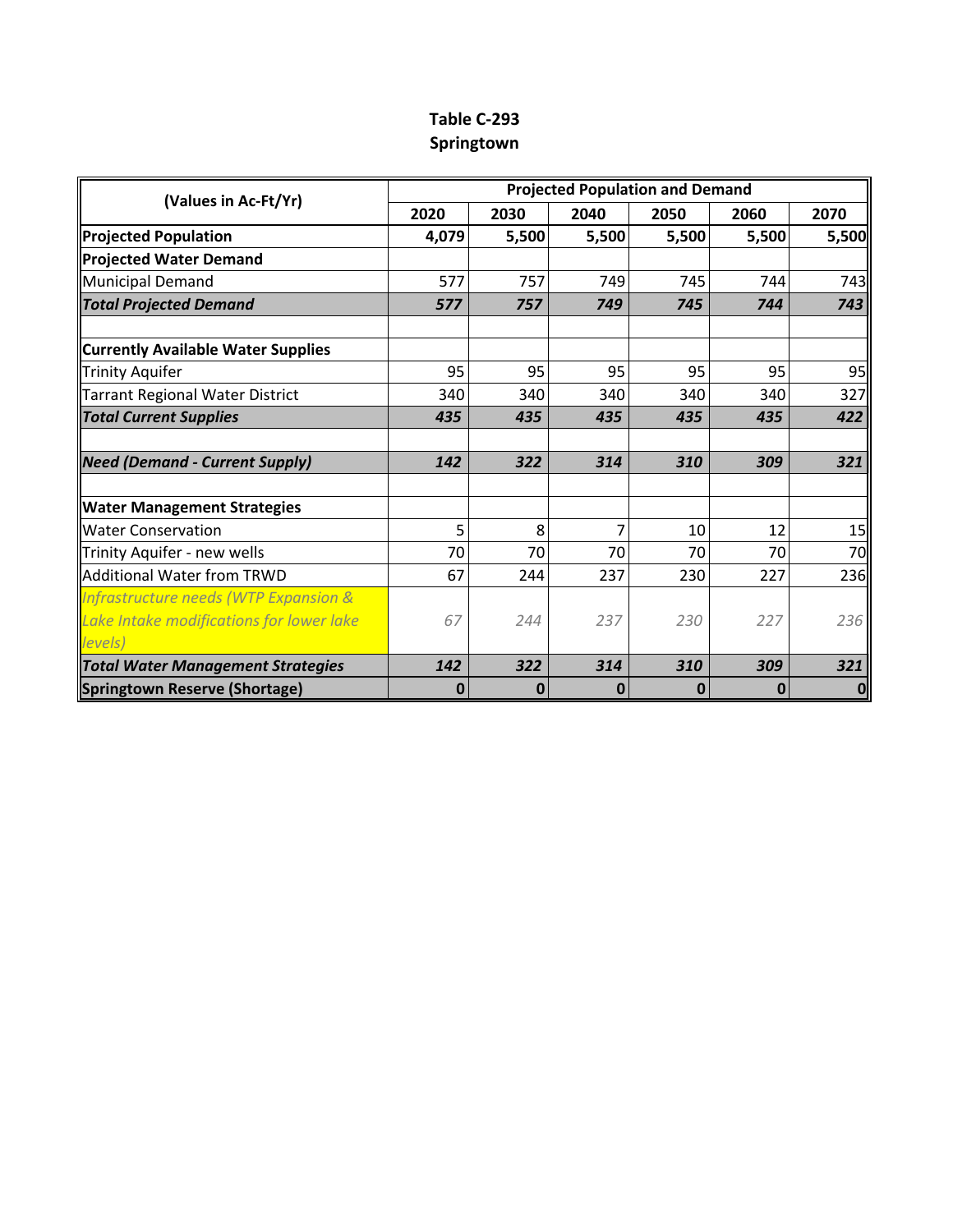## **Table C-293 Springtown**

| (Values in Ac-Ft/Yr)                      | <b>Projected Population and Demand</b> |       |       |       |       |       |  |  |  |  |
|-------------------------------------------|----------------------------------------|-------|-------|-------|-------|-------|--|--|--|--|
|                                           | 2020                                   | 2030  | 2040  | 2050  | 2060  | 2070  |  |  |  |  |
| <b>Projected Population</b>               | 4,079                                  | 5,500 | 5,500 | 5,500 | 5,500 | 5,500 |  |  |  |  |
| <b>Projected Water Demand</b>             |                                        |       |       |       |       |       |  |  |  |  |
| Municipal Demand                          | 577                                    | 757   | 749   | 745   | 744   | 743   |  |  |  |  |
| <b>Total Projected Demand</b>             | 577                                    | 757   | 749   | 745   | 744   | 743   |  |  |  |  |
| <b>Currently Available Water Supplies</b> |                                        |       |       |       |       |       |  |  |  |  |
| Trinity Aquifer                           | 95                                     | 95    | 95    | 95    | 95    | 95    |  |  |  |  |
| Tarrant Regional Water District           | 340                                    | 340   | 340   | 340   | 340   | 327   |  |  |  |  |
| <b>Total Current Supplies</b>             | 435                                    | 435   | 435   | 435   | 435   | 422   |  |  |  |  |
| <b>Need (Demand - Current Supply)</b>     | 142                                    | 322   | 314   | 310   | 309   | 321   |  |  |  |  |
| <b>Water Management Strategies</b>        |                                        |       |       |       |       |       |  |  |  |  |
| <b>Water Conservation</b>                 | 5                                      | 8     | 7     | 10    | 12    | 15    |  |  |  |  |
| Trinity Aquifer - new wells               | 70                                     | 70    | 70    | 70    | 70    | 70    |  |  |  |  |
| Additional Water from TRWD                | 67                                     | 244   | 237   | 230   | 227   | 236   |  |  |  |  |
| Infrastructure needs (WTP Expansion &     |                                        |       |       |       |       |       |  |  |  |  |
| Lake Intake modifications for lower lake  | 67                                     | 244   | 237   | 230   | 227   | 236   |  |  |  |  |
| levels)                                   |                                        |       |       |       |       |       |  |  |  |  |
| <b>Total Water Management Strategies</b>  | 142                                    | 322   | 314   | 310   | 309   | 321   |  |  |  |  |
| Springtown Reserve (Shortage)             | 0                                      | 0     | 0     | 0     | 0     | 0     |  |  |  |  |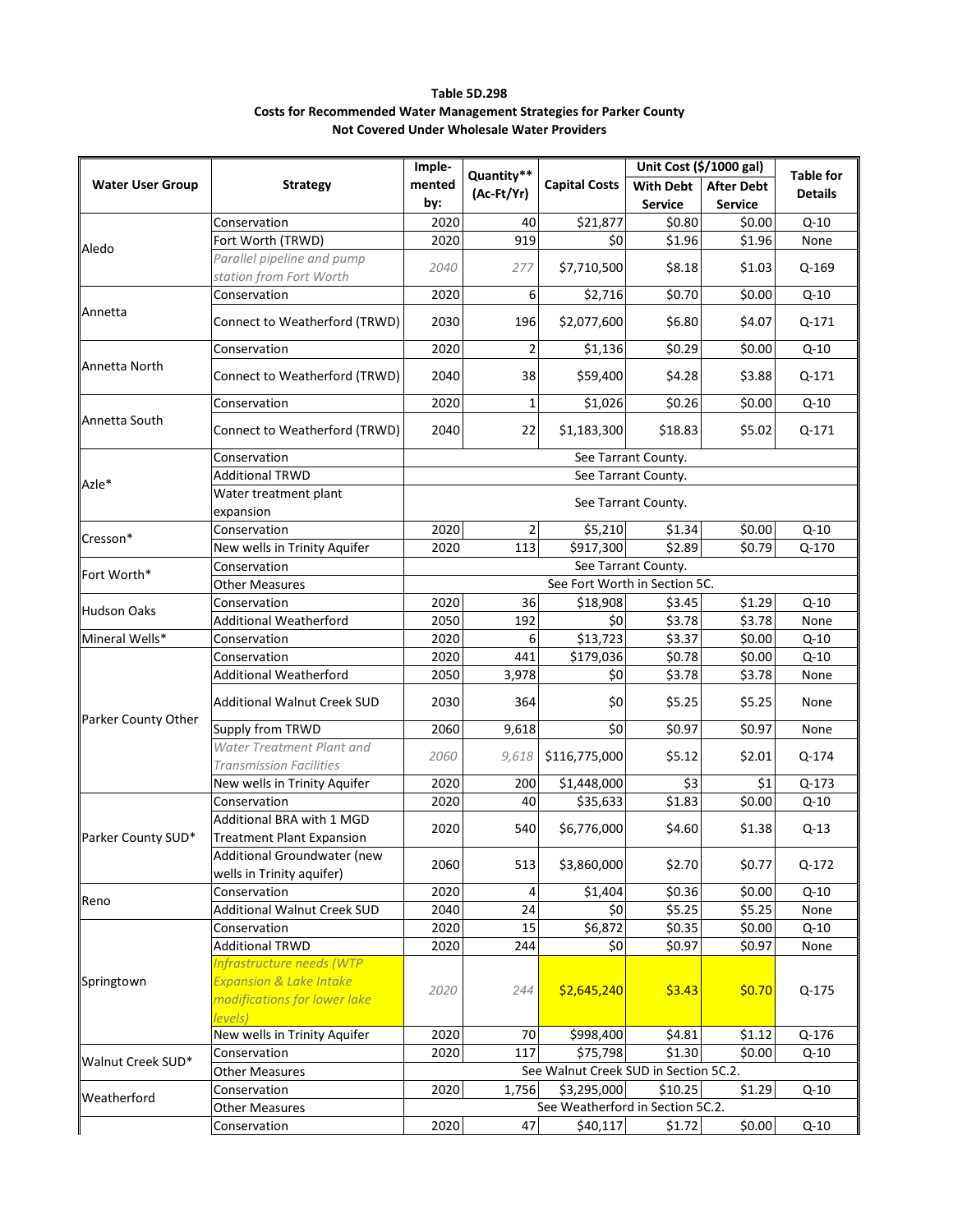| Table 5D.298                                                               |
|----------------------------------------------------------------------------|
| <b>Costs for Recommended Water Management Strategies for Parker County</b> |
| Not Covered Under Wholesale Water Providers                                |

|                         |                                    | Imple-                        |                |                                       | Unit Cost (\$/1000 gal) |                   |                  |  |  |  |  |  |  |
|-------------------------|------------------------------------|-------------------------------|----------------|---------------------------------------|-------------------------|-------------------|------------------|--|--|--|--|--|--|
| <b>Water User Group</b> | <b>Strategy</b>                    | mented                        | Quantity**     | <b>Capital Costs</b>                  | <b>With Debt</b>        | <b>After Debt</b> | <b>Table for</b> |  |  |  |  |  |  |
|                         |                                    | by:                           | (Ac-Ft/Yr)     |                                       | <b>Service</b>          | <b>Service</b>    | <b>Details</b>   |  |  |  |  |  |  |
|                         | Conservation                       | 2020                          | 40             | \$21,877                              | \$0.80                  | \$0.00            | $Q-10$           |  |  |  |  |  |  |
|                         | Fort Worth (TRWD)                  | 2020                          | 919            | \$0                                   | \$1.96                  | \$1.96            | None             |  |  |  |  |  |  |
| Aledo                   | Parallel pipeline and pump         |                               |                |                                       |                         |                   |                  |  |  |  |  |  |  |
|                         | station from Fort Worth            | 2040                          | 277            | \$7,710,500                           | \$8.18                  | \$1.03            | Q-169            |  |  |  |  |  |  |
|                         | Conservation                       | 2020                          | 6              | \$2,716                               | \$0.70                  | \$0.00            | $Q-10$           |  |  |  |  |  |  |
| Annetta                 |                                    |                               |                |                                       |                         |                   |                  |  |  |  |  |  |  |
|                         | Connect to Weatherford (TRWD)      | 2030                          | 196            | \$2,077,600                           | \$6.80                  | \$4.07            | Q-171            |  |  |  |  |  |  |
|                         | Conservation                       | 2020                          | $\overline{2}$ | \$1,136                               | \$0.29                  | \$0.00            | $Q-10$           |  |  |  |  |  |  |
| Annetta North           |                                    |                               |                |                                       |                         |                   |                  |  |  |  |  |  |  |
|                         | Connect to Weatherford (TRWD)      | 2040                          | 38             | \$59,400                              | \$4.28                  | \$3.88            | Q-171            |  |  |  |  |  |  |
|                         | Conservation                       | 2020                          | $\mathbf 1$    | \$1,026                               | \$0.26                  | \$0.00            | $Q-10$           |  |  |  |  |  |  |
| Annetta South           |                                    |                               |                |                                       |                         |                   |                  |  |  |  |  |  |  |
|                         | Connect to Weatherford (TRWD)      | 2040                          | 22             | \$1,183,300                           | \$18.83                 | \$5.02            | Q-171            |  |  |  |  |  |  |
|                         | Conservation                       |                               |                |                                       | See Tarrant County.     |                   |                  |  |  |  |  |  |  |
| Azle*                   | <b>Additional TRWD</b>             |                               |                |                                       | See Tarrant County.     |                   |                  |  |  |  |  |  |  |
|                         | Water treatment plant              | See Tarrant County.           |                |                                       |                         |                   |                  |  |  |  |  |  |  |
|                         | expansion                          |                               |                |                                       |                         |                   |                  |  |  |  |  |  |  |
| Cresson*                | Conservation                       | 2020                          | 2              | \$5,210                               | \$1.34                  | \$0.00            | $Q-10$           |  |  |  |  |  |  |
|                         | New wells in Trinity Aquifer       | 2020                          | 113            | \$917,300                             | \$2.89                  | \$0.79            | Q-170            |  |  |  |  |  |  |
| Fort Worth*             | Conservation                       | See Tarrant County.           |                |                                       |                         |                   |                  |  |  |  |  |  |  |
|                         | <b>Other Measures</b>              | See Fort Worth in Section 5C. |                |                                       |                         |                   |                  |  |  |  |  |  |  |
| Hudson Oaks             | Conservation                       | 2020                          | 36             | \$18,908                              | \$3.45                  | \$1.29            | $Q-10$           |  |  |  |  |  |  |
|                         | <b>Additional Weatherford</b>      | 2050                          | 192            | \$0                                   | \$3.78                  | \$3.78            | None             |  |  |  |  |  |  |
| Mineral Wells*          | Conservation                       | 2020                          | 6              | \$13,723                              | \$3.37                  | \$0.00            | $Q - 10$         |  |  |  |  |  |  |
|                         | Conservation                       | 2020                          | 441            | \$179,036                             | \$0.78                  | \$0.00            | $Q-10$           |  |  |  |  |  |  |
|                         | <b>Additional Weatherford</b>      | 2050                          | 3,978          | \$0                                   | \$3.78                  | \$3.78            | None             |  |  |  |  |  |  |
|                         | <b>Additional Walnut Creek SUD</b> | 2030                          | 364            | \$0                                   | \$5.25                  | \$5.25            | None             |  |  |  |  |  |  |
| Parker County Other     | Supply from TRWD                   | 2060                          | 9,618          | \$0                                   | \$0.97                  | \$0.97            | None             |  |  |  |  |  |  |
|                         | Water Treatment Plant and          |                               |                |                                       |                         |                   |                  |  |  |  |  |  |  |
|                         | <b>Transmission Facilities</b>     | 2060                          | 9,618          | \$116,775,000                         | \$5.12                  | \$2.01            | Q-174            |  |  |  |  |  |  |
|                         | New wells in Trinity Aquifer       | 2020                          | 200            | \$1,448,000                           | \$3                     | \$1               | Q-173            |  |  |  |  |  |  |
|                         | Conservation                       | 2020                          | 40             | \$35,633                              | \$1.83                  | \$0.00            | $Q-10$           |  |  |  |  |  |  |
|                         | Additional BRA with 1 MGD          |                               |                |                                       |                         |                   |                  |  |  |  |  |  |  |
| Parker County SUD*      | <b>Treatment Plant Expansion</b>   | 2020                          | 540            | \$6,776,000                           | \$4.60                  | \$1.38            | $Q-13$           |  |  |  |  |  |  |
|                         | Additional Groundwater (new        |                               |                |                                       |                         |                   |                  |  |  |  |  |  |  |
|                         | wells in Trinity aquifer)          | 2060                          | 513            | \$3,860,000                           | \$2.70                  | \$0.77            | $Q-172$          |  |  |  |  |  |  |
| Reno                    | Conservation                       | 2020                          | 4              | \$1,404                               | \$0.36                  | \$0.00            | $Q-10$           |  |  |  |  |  |  |
|                         | Additional Walnut Creek SUD        | 2040                          | 24             | \$0                                   | \$5.25                  | \$5.25            | None             |  |  |  |  |  |  |
|                         | Conservation                       | 2020                          | 15             | \$6,872                               | \$0.35                  | \$0.00            | $Q-10$           |  |  |  |  |  |  |
|                         | <b>Additional TRWD</b>             | 2020                          | 244            | \$0                                   | \$0.97                  | \$0.97            | None             |  |  |  |  |  |  |
|                         | Infrastructure needs (WTP          |                               |                |                                       |                         |                   |                  |  |  |  |  |  |  |
| Springtown              | <b>Expansion &amp; Lake Intake</b> | 2020                          | 244            | \$2,645,240                           | \$3.43                  | \$0.70            | Q-175            |  |  |  |  |  |  |
|                         | modifications for lower lake       |                               |                |                                       |                         |                   |                  |  |  |  |  |  |  |
|                         | levels)                            |                               |                |                                       |                         |                   |                  |  |  |  |  |  |  |
|                         | New wells in Trinity Aquifer       | 2020                          | 70             | \$998,400                             | \$4.81                  | \$1.12            | Q-176            |  |  |  |  |  |  |
| Walnut Creek SUD*       | Conservation                       | 2020                          | 117            | \$75,798                              | \$1.30                  | \$0.00            | $Q-10$           |  |  |  |  |  |  |
|                         | <b>Other Measures</b>              |                               |                | See Walnut Creek SUD in Section 5C.2. |                         |                   |                  |  |  |  |  |  |  |
| Weatherford             | Conservation                       | 2020                          | 1,756          | \$3,295,000                           | \$10.25                 | \$1.29            | $Q - 10$         |  |  |  |  |  |  |
|                         | <b>Other Measures</b>              |                               |                | See Weatherford in Section 5C.2.      |                         |                   |                  |  |  |  |  |  |  |
|                         | Conservation                       | 2020                          | 47             | \$40,117                              | \$1.72                  | \$0.00            | $Q - 10$         |  |  |  |  |  |  |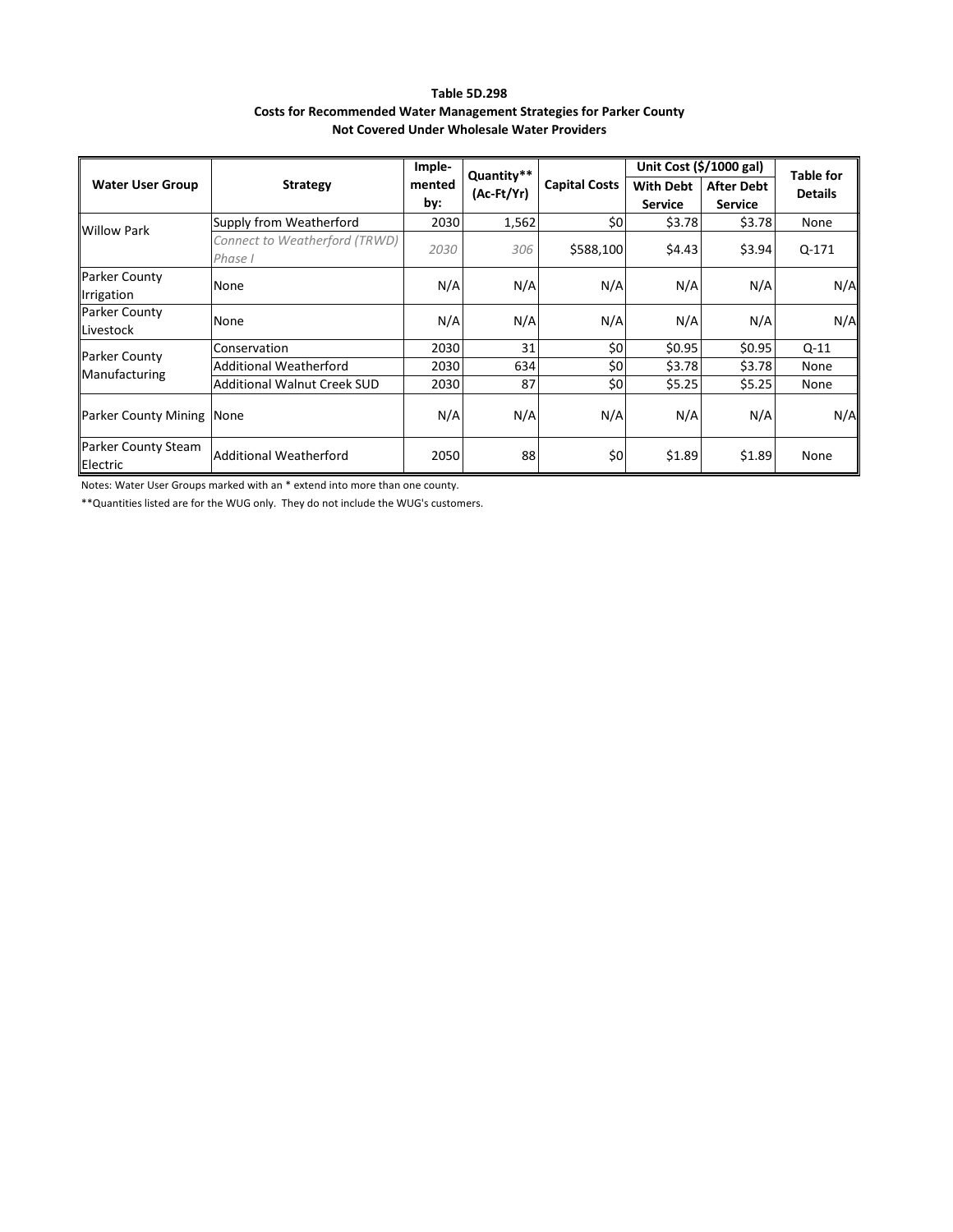| <b>Table 5D.298</b>                                                        |  |  |  |  |  |  |
|----------------------------------------------------------------------------|--|--|--|--|--|--|
| <b>Costs for Recommended Water Management Strategies for Parker County</b> |  |  |  |  |  |  |
| Not Covered Under Wholesale Water Providers                                |  |  |  |  |  |  |

|                                    |                                          | Imple-        | Quantity** |                      | Unit Cost $(\frac{5}{1000}$ gal)                                          | <b>Table for</b> |                |
|------------------------------------|------------------------------------------|---------------|------------|----------------------|---------------------------------------------------------------------------|------------------|----------------|
| <b>Water User Group</b>            | <b>Strategy</b>                          | mented<br>by: | (Ac-Ft/Yr) | <b>Capital Costs</b> | <b>With Debt</b><br><b>After Debt</b><br><b>Service</b><br><b>Service</b> |                  | <b>Details</b> |
| <b>Willow Park</b>                 | Supply from Weatherford                  | 2030          | 1,562      | \$0                  | \$3.78                                                                    | \$3.78           | None           |
|                                    | Connect to Weatherford (TRWD)<br>Phase I | 2030          | 306        | \$588,100            | \$4.43                                                                    | \$3.94           | $Q - 171$      |
| <b>Parker County</b><br>Irrigation | None                                     | N/A           | N/A        | N/A                  | N/A                                                                       | N/A              | N/A            |
| <b>Parker County</b><br>Livestock  | None                                     | N/A           | N/A        | N/A                  | N/A                                                                       | N/A              | N/A            |
| <b>Parker County</b>               | Conservation                             | 2030          | 31         | \$0                  | \$0.95                                                                    | \$0.95           | $Q-11$         |
| Manufacturing                      | Additional Weatherford                   | 2030          | 634        | \$0                  | \$3.78                                                                    | \$3.78           | None           |
|                                    | <b>Additional Walnut Creek SUD</b>       | 2030          | 87         | \$0                  | \$5.25                                                                    | \$5.25           | None           |
| <b>Parker County Mining None</b>   |                                          | N/A           | N/A        | N/A                  | N/A                                                                       | N/A              | N/A            |
| Parker County Steam<br>Electric    | Additional Weatherford                   | 2050          | 88         | \$0                  | \$1.89                                                                    | \$1.89           | None           |

Notes: Water User Groups marked with an \* extend into more than one county.

\*\*Quantities listed are for the WUG only. They do not include the WUG's customers.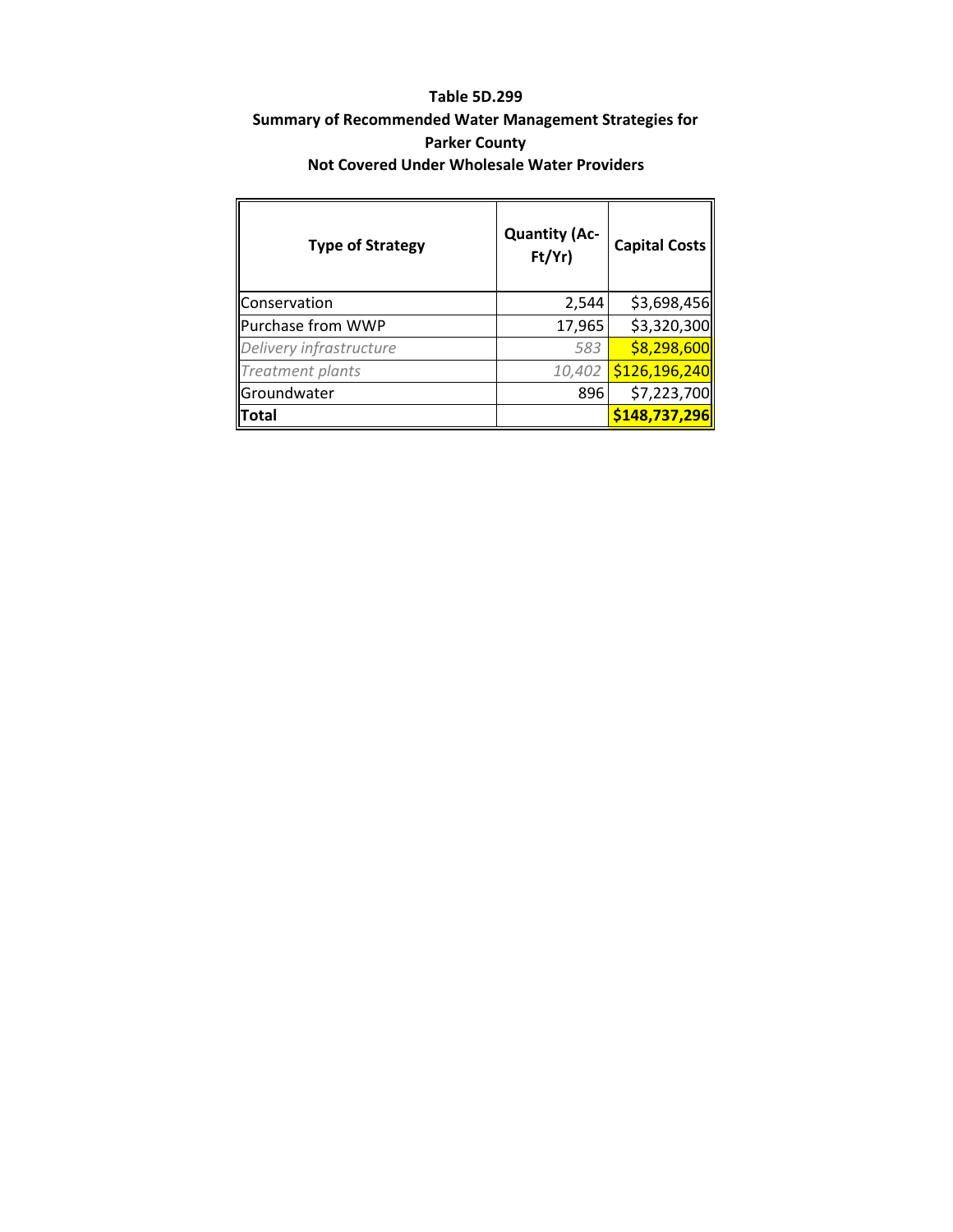### **Table 5D.299**

### **Summary of Recommended Water Management Strategies for Parker County Not Covered Under Wholesale Water Providers**

| <b>Type of Strategy</b> | <b>Quantity (Ac-</b><br>Ft/Yr | <b>Capital Costs</b> |  |  |  |
|-------------------------|-------------------------------|----------------------|--|--|--|
| Conservation            | 2,544                         | \$3,698,456          |  |  |  |
| Purchase from WWP       | 17,965                        | \$3,320,300          |  |  |  |
| Delivery infrastructure | 583                           | \$8,298,600          |  |  |  |
| <b>Treatment plants</b> | 10,402                        | \$126,196,240        |  |  |  |
| Groundwater             | 896                           | \$7,223,700          |  |  |  |
| llTotal                 |                               | \$148,737,296        |  |  |  |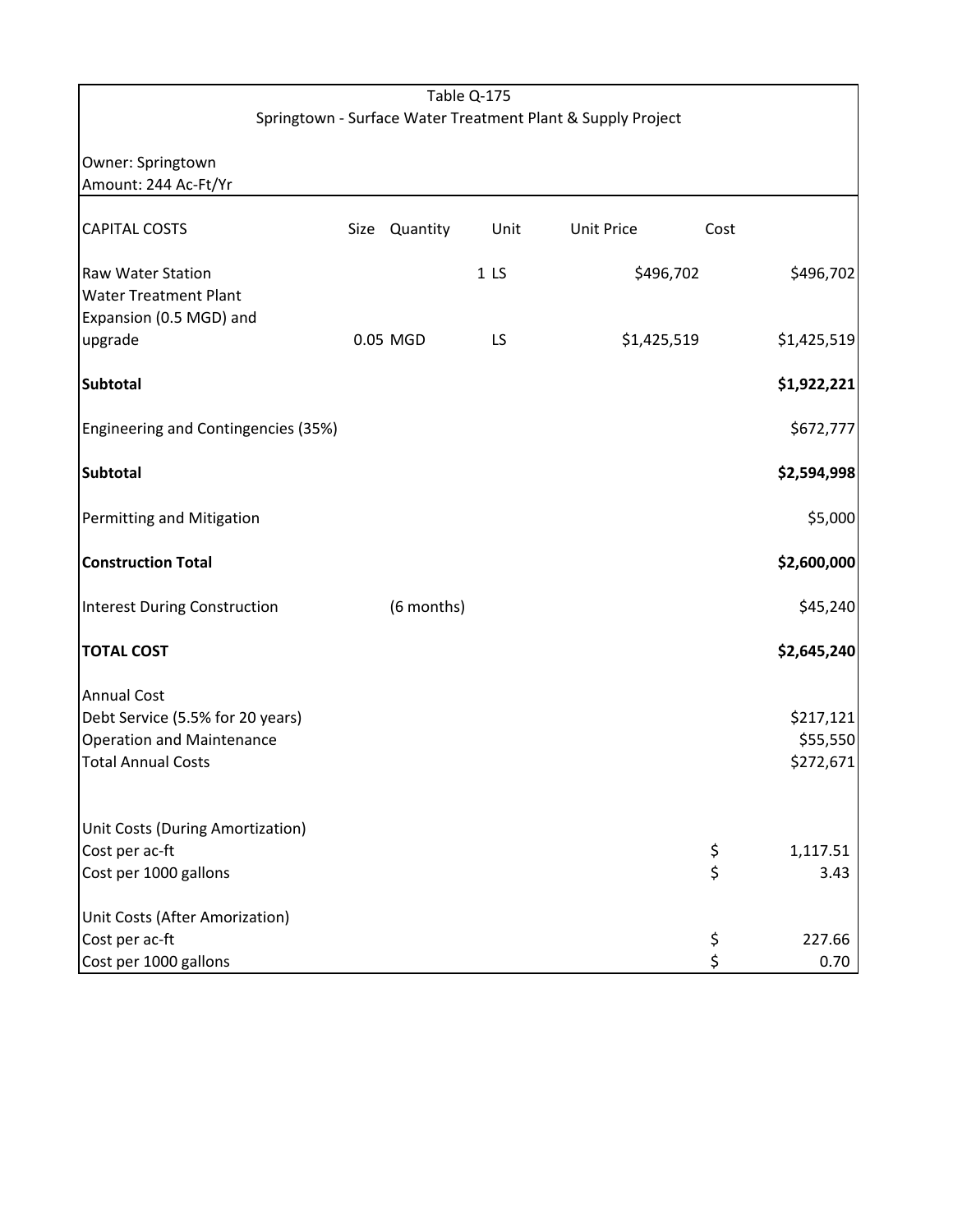|                                                                              |      |            | Table Q-175     |                                                             |           |             |
|------------------------------------------------------------------------------|------|------------|-----------------|-------------------------------------------------------------|-----------|-------------|
|                                                                              |      |            |                 | Springtown - Surface Water Treatment Plant & Supply Project |           |             |
| Owner: Springtown<br>Amount: 244 Ac-Ft/Yr                                    |      |            |                 |                                                             |           |             |
| <b>CAPITAL COSTS</b>                                                         | Size | Quantity   | Unit            | <b>Unit Price</b>                                           | Cost      |             |
| Raw Water Station<br><b>Water Treatment Plant</b><br>Expansion (0.5 MGD) and |      |            | 1 <sub>LS</sub> |                                                             | \$496,702 | \$496,702   |
| upgrade                                                                      |      | 0.05 MGD   | LS              | \$1,425,519                                                 |           | \$1,425,519 |
| <b>Subtotal</b>                                                              |      |            |                 |                                                             |           | \$1,922,221 |
| Engineering and Contingencies (35%)                                          |      |            |                 |                                                             |           | \$672,777   |
| <b>Subtotal</b>                                                              |      |            |                 |                                                             |           | \$2,594,998 |
| Permitting and Mitigation                                                    |      |            |                 |                                                             |           | \$5,000     |
| <b>Construction Total</b>                                                    |      |            |                 |                                                             |           | \$2,600,000 |
| <b>Interest During Construction</b>                                          |      | (6 months) |                 |                                                             |           | \$45,240    |
| <b>TOTAL COST</b>                                                            |      |            |                 |                                                             |           | \$2,645,240 |
| <b>Annual Cost</b><br>Debt Service (5.5% for 20 years)                       |      |            |                 |                                                             |           | \$217,121   |
| <b>Operation and Maintenance</b>                                             |      |            |                 |                                                             |           | \$55,550    |
| <b>Total Annual Costs</b>                                                    |      |            |                 |                                                             |           | \$272,671   |
| Unit Costs (During Amortization)                                             |      |            |                 |                                                             |           |             |
| Cost per ac-ft                                                               |      |            |                 |                                                             | \$        | 1,117.51    |
| Cost per 1000 gallons                                                        |      |            |                 |                                                             | \$        | 3.43        |
| Unit Costs (After Amorization)                                               |      |            |                 |                                                             |           |             |
| Cost per ac-ft                                                               |      |            |                 |                                                             | \$        | 227.66      |
| Cost per 1000 gallons                                                        |      |            |                 |                                                             | \$        | 0.70        |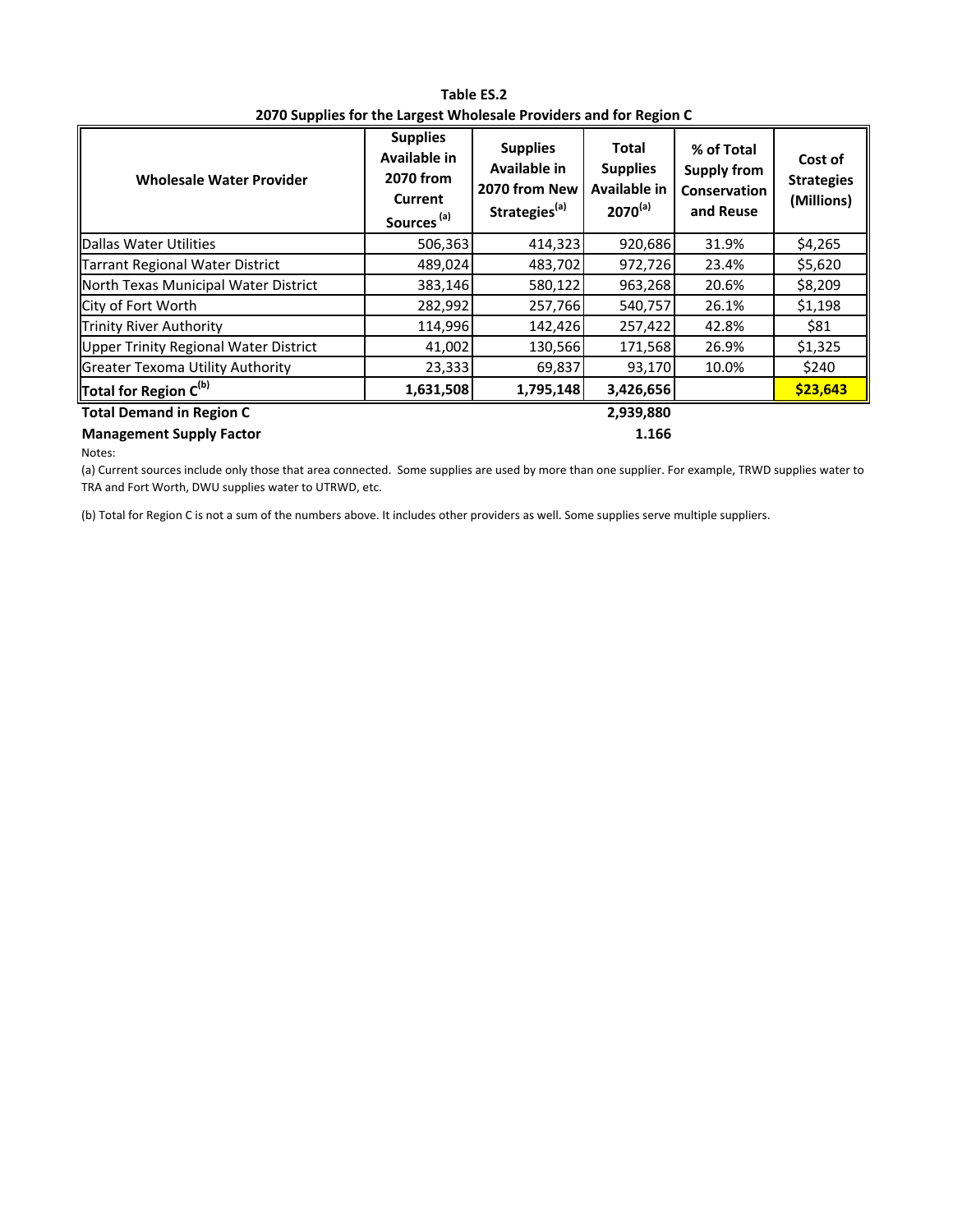| <b>Wholesale Water Provider</b>       | <b>Supplies</b><br>Available in<br>2070 from<br><b>Current</b><br>Sources <sup>(a)</sup> | <b>Supplies</b><br><b>Available in</b><br>2070 from New<br>Strategies <sup>(a)</sup> | Total<br><b>Supplies</b><br>Available in<br>$2070^{(a)}$ | % of Total<br><b>Supply from</b><br><b>Conservation</b><br>and Reuse | Cost of<br><b>Strategies</b><br>(Millions) |  |
|---------------------------------------|------------------------------------------------------------------------------------------|--------------------------------------------------------------------------------------|----------------------------------------------------------|----------------------------------------------------------------------|--------------------------------------------|--|
| Dallas Water Utilities                | 506,363                                                                                  | 414,323                                                                              | 920,686                                                  | 31.9%                                                                | \$4,265                                    |  |
| Tarrant Regional Water District       | 489,024                                                                                  | 483,702                                                                              | 972,726                                                  | 23.4%                                                                | \$5,620                                    |  |
| North Texas Municipal Water District  | 383,146                                                                                  | 580,122                                                                              | 963,268                                                  | 20.6%                                                                | \$8,209                                    |  |
| City of Fort Worth                    | 282,992                                                                                  | 257,766                                                                              | 540,757                                                  | 26.1%                                                                | \$1,198                                    |  |
| Trinity River Authority               | 114,996                                                                                  | 142,426                                                                              | 257,422                                                  | 42.8%                                                                | \$81                                       |  |
| Upper Trinity Regional Water District | 41,002                                                                                   | 130,566                                                                              | 171,568                                                  | 26.9%                                                                | \$1,325                                    |  |
| Greater Texoma Utility Authority      | 23,333                                                                                   | 69,837                                                                               | 93,170                                                   | 10.0%                                                                | \$240                                      |  |
| Total for Region $C^{(b)}$            | 1,631,508                                                                                | 1,795,148                                                                            | 3,426,656                                                |                                                                      | \$23,643                                   |  |
| <b>Total Demand in Region C</b>       |                                                                                          |                                                                                      | 2,939,880                                                |                                                                      |                                            |  |
| <b>Management Supply Factor</b>       |                                                                                          |                                                                                      | 1.166                                                    |                                                                      |                                            |  |

**Table ES.2 2070 Supplies for the Largest Wholesale Providers and for Region C**

Notes:

(a) Current sources include only those that area connected. Some supplies are used by more than one supplier. For example, TRWD supplies water to TRA and Fort Worth, DWU supplies water to UTRWD, etc.

(b) Total for Region C is not a sum of the numbers above. It includes other providers as well. Some supplies serve multiple suppliers.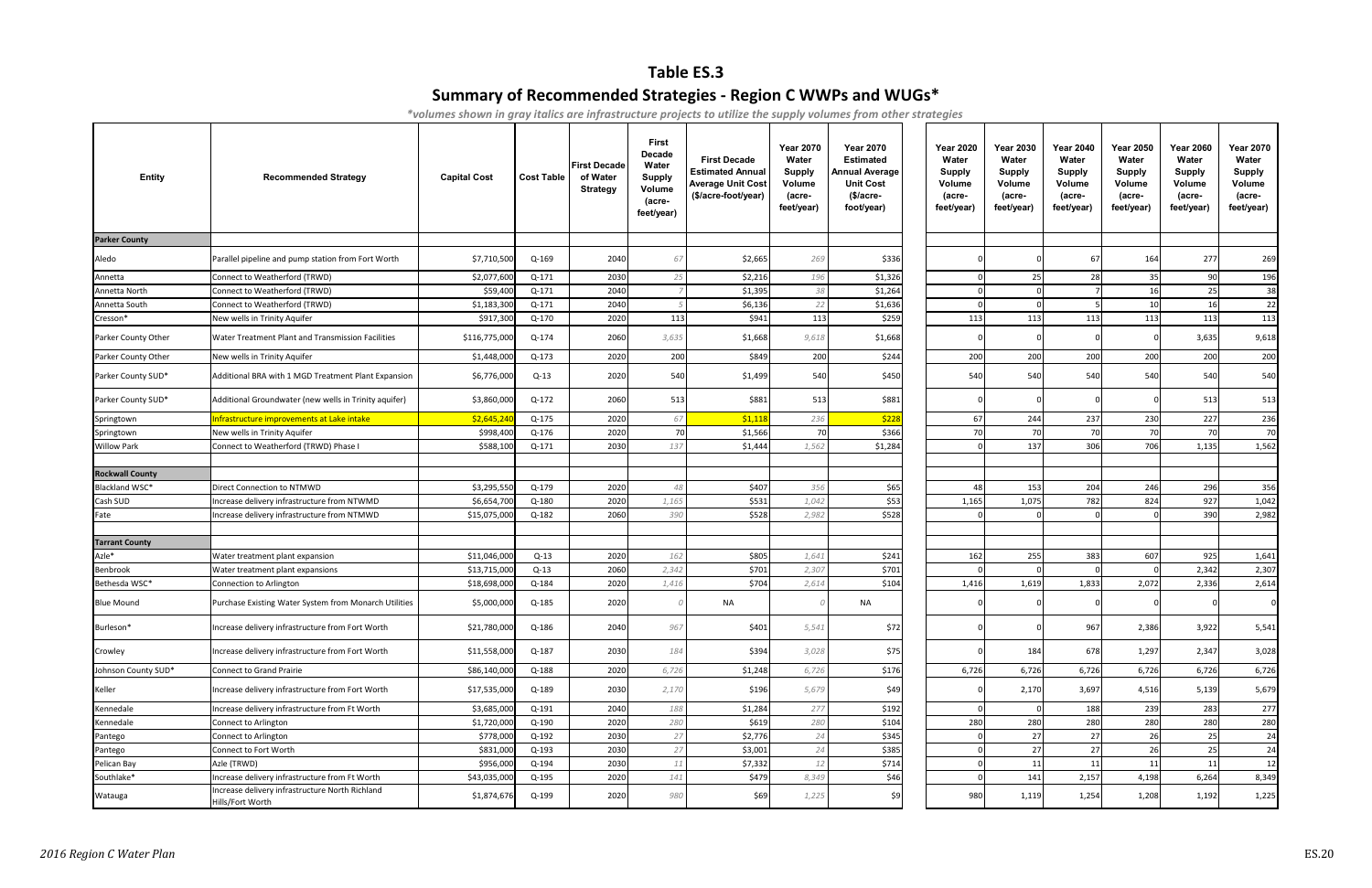# **Table ES.3**

# **Summary of Recommended Strategies - Region C WWPs and WUGs\***

*\*volumes shown in gray italics are infrastructure projects to utilize the supply volumes from other strategies*

| Entity                 | <b>Recommended Strategy</b>                                         | <b>Capital Cost</b> | <b>Cost Table</b> | <b>First Decade</b><br>of Water<br><b>Strategy</b> | <b>First</b><br><b>Decade</b><br>Water<br><b>Supply</b><br>Volume<br>(acre-<br>feet/year) | <b>First Decade</b><br><b>Estimated Annual</b><br><b>Average Unit Cost</b><br>(\$/acre-foot/year) | <b>Year 2070</b><br>Water<br><b>Supply</b><br>Volume<br>(acre-<br>feet/year) | <b>Year 2070</b><br><b>Estimated</b><br><b>Annual Average</b><br><b>Unit Cost</b><br>$$/acre-$<br>foot/year) | <b>Year 2020</b><br>Water<br><b>Supply</b><br>Volume<br>(acre-<br>feet/year) | <b>Year 2030</b><br>Water<br>Supply<br>Volume<br>(acre-<br>feet/year) | <b>Year 2040</b><br>Water<br><b>Supply</b><br>Volume<br>(acre-<br>feet/year) | Year 2050<br>Water<br><b>Supply</b><br>Volume<br>(acre-<br>feet/year) | <b>Year 2060</b><br>Water<br><b>Supply</b><br>Volume<br>(acre-<br>feet/year) | <b>Year 2070</b><br>Water<br><b>Supply</b><br>Volume<br>(acre-<br>feet/year) |
|------------------------|---------------------------------------------------------------------|---------------------|-------------------|----------------------------------------------------|-------------------------------------------------------------------------------------------|---------------------------------------------------------------------------------------------------|------------------------------------------------------------------------------|--------------------------------------------------------------------------------------------------------------|------------------------------------------------------------------------------|-----------------------------------------------------------------------|------------------------------------------------------------------------------|-----------------------------------------------------------------------|------------------------------------------------------------------------------|------------------------------------------------------------------------------|
| <b>Parker County</b>   |                                                                     |                     |                   |                                                    |                                                                                           |                                                                                                   |                                                                              |                                                                                                              |                                                                              |                                                                       |                                                                              |                                                                       |                                                                              |                                                                              |
| Aledo                  | Parallel pipeline and pump station from Fort Worth                  | \$7,710,500         | Q-169             | 2040                                               | 67                                                                                        | \$2,665                                                                                           | 269                                                                          | \$336                                                                                                        |                                                                              |                                                                       | 67                                                                           | 164                                                                   | 277                                                                          | 269                                                                          |
| Annetta                | Connect to Weatherford (TRWD)                                       | \$2,077,600         | $Q-171$           | 2030                                               | 25                                                                                        | \$2,216                                                                                           | 196                                                                          | \$1,326                                                                                                      |                                                                              | 25                                                                    | 28                                                                           | 35                                                                    | 90                                                                           | 196                                                                          |
| Annetta North          | Connect to Weatherford (TRWD)                                       | \$59,400            | Q-171             | 2040                                               |                                                                                           | \$1,395                                                                                           | 38                                                                           | \$1,264                                                                                                      |                                                                              | $\Omega$                                                              |                                                                              | 16                                                                    | 25                                                                           | 38                                                                           |
| Annetta South          | Connect to Weatherford (TRWD)                                       | \$1,183,300         | $Q-171$           | 2040                                               |                                                                                           | \$6,136                                                                                           | 22                                                                           | \$1,636                                                                                                      |                                                                              | $\Omega$                                                              |                                                                              | 10                                                                    | 16                                                                           | 22                                                                           |
| Cresson*               | New wells in Trinity Aquifer                                        | \$917,300           | Q-170             | 2020                                               | 113                                                                                       | \$941                                                                                             | 113                                                                          | \$259                                                                                                        | 113                                                                          | 113                                                                   | 113                                                                          | 113                                                                   | 113                                                                          | 113                                                                          |
| Parker County Other    | Water Treatment Plant and Transmission Facilities                   | \$116,775,000       | Q-174             | 2060                                               | 3,635                                                                                     | \$1,668                                                                                           | 9,618                                                                        | \$1,668                                                                                                      |                                                                              | $\Omega$                                                              |                                                                              |                                                                       | 3,635                                                                        | 9,618                                                                        |
| Parker County Other    | New wells in Trinity Aquifer                                        | \$1,448,000         | Q-173             | 2020                                               | 200                                                                                       | \$849                                                                                             | 200                                                                          | \$244                                                                                                        | 200                                                                          | 200                                                                   | 200                                                                          | 200                                                                   | 200                                                                          | 200                                                                          |
| Parker County SUD*     | Additional BRA with 1 MGD Treatment Plant Expansion                 | \$6,776,000         | $Q-13$            | 2020                                               | 540                                                                                       | \$1,499                                                                                           | 540                                                                          | \$450                                                                                                        | 540                                                                          | 540                                                                   | 540                                                                          | 540                                                                   | 540                                                                          | 540                                                                          |
| Parker County SUD*     | Additional Groundwater (new wells in Trinity aquifer)               | \$3,860,000         | Q-172             | 2060                                               | 513                                                                                       | \$881                                                                                             | 513                                                                          | \$881                                                                                                        |                                                                              |                                                                       |                                                                              |                                                                       | 513                                                                          | 513                                                                          |
| Springtown             | Infrastructure improvements at Lake intake                          | \$2,645,24          | Q-175             | 2020                                               | 67                                                                                        | \$1,11                                                                                            | 236                                                                          | \$228                                                                                                        | 67                                                                           | 244                                                                   | 237                                                                          | 230                                                                   | 227                                                                          | 236                                                                          |
| Springtown             | New wells in Trinity Aquifer                                        | \$998,400           | Q-176             | 2020                                               | 70                                                                                        | \$1,566                                                                                           | 70                                                                           | \$366                                                                                                        | 70                                                                           | 70                                                                    | 70                                                                           | 70                                                                    | 70                                                                           | 70                                                                           |
| <b>Willow Park</b>     | Connect to Weatherford (TRWD) Phase I                               | \$588,100           | $Q-171$           | 2030                                               | 137                                                                                       | \$1,444                                                                                           | 1,562                                                                        | \$1,284                                                                                                      |                                                                              | 137                                                                   | 306                                                                          | 706                                                                   | 1,135                                                                        | 1,562                                                                        |
| <b>Rockwall County</b> |                                                                     |                     |                   |                                                    |                                                                                           |                                                                                                   |                                                                              |                                                                                                              |                                                                              |                                                                       |                                                                              |                                                                       |                                                                              |                                                                              |
| Blackland WSC*         | Direct Connection to NTMWD                                          | \$3,295,55          | Q-179             | 2020                                               | 48                                                                                        | \$407                                                                                             | 356                                                                          | \$65                                                                                                         | 48                                                                           | 153                                                                   | 204                                                                          | 246                                                                   | 296                                                                          | 356                                                                          |
| Cash SUD               | Increase delivery infrastructure from NTWMD                         | \$6,654,70          | Q-180             | 2020                                               | 1,165                                                                                     | \$531                                                                                             | 1,042                                                                        | \$53                                                                                                         | 1,165                                                                        | 1,075                                                                 | 782                                                                          | 824                                                                   | 927                                                                          | 1,042                                                                        |
| Fate                   | Increase delivery infrastructure from NTMWD                         | \$15,075,000        | Q-182             | 2060                                               | 390                                                                                       | \$528                                                                                             | 2,982                                                                        | \$528                                                                                                        |                                                                              |                                                                       |                                                                              |                                                                       | 390                                                                          | 2,982                                                                        |
| <b>Tarrant County</b>  |                                                                     |                     |                   |                                                    |                                                                                           |                                                                                                   |                                                                              |                                                                                                              |                                                                              |                                                                       |                                                                              |                                                                       |                                                                              |                                                                              |
| Azle*                  | Water treatment plant expansion                                     | \$11,046,000        | $Q-13$            | 2020                                               | 162                                                                                       | \$805                                                                                             | 1,641                                                                        | \$241                                                                                                        | 162                                                                          | 255                                                                   | 383                                                                          | 607                                                                   | 925                                                                          | 1,641                                                                        |
| Benbrook               | Water treatment plant expansions                                    | \$13,715,000        | $Q-13$            | 2060                                               | 2,342                                                                                     | \$701                                                                                             | 2,307                                                                        | \$701                                                                                                        |                                                                              |                                                                       |                                                                              |                                                                       | 2,342                                                                        | 2,307                                                                        |
| Bethesda WSC*          | Connection to Arlington                                             | \$18,698,000        | Q-184             | 2020                                               | 1,416                                                                                     | \$704                                                                                             | 2,614                                                                        | \$104                                                                                                        | 1,416                                                                        | 1,619                                                                 | 1,833                                                                        | 2,072                                                                 | 2,336                                                                        | 2,614                                                                        |
| <b>Blue Mound</b>      | Purchase Existing Water System from Monarch Utilities               | \$5,000,000         | Q-185             | 2020                                               |                                                                                           | NA                                                                                                |                                                                              | NA                                                                                                           |                                                                              |                                                                       |                                                                              |                                                                       |                                                                              |                                                                              |
| Burleson*              | Increase delivery infrastructure from Fort Worth                    | \$21,780,000        | Q-186             | 2040                                               | 967                                                                                       | \$401                                                                                             | 5,541                                                                        | \$72                                                                                                         |                                                                              |                                                                       | 967                                                                          | 2,386                                                                 | 3,922                                                                        | 5,541                                                                        |
| Crowley                | Increase delivery infrastructure from Fort Worth                    | \$11,558,000        | Q-187             | 2030                                               | 184                                                                                       | \$394                                                                                             | 3,028                                                                        | \$75                                                                                                         |                                                                              | 184                                                                   | 678                                                                          | 1,297                                                                 | 2,347                                                                        | 3,028                                                                        |
| Johnson County SUD*    | Connect to Grand Prairie                                            | \$86,140,000        | Q-188             | 2020                                               | 6,726                                                                                     | \$1,248                                                                                           | 6,726                                                                        | \$176                                                                                                        | 6,726                                                                        | 6,726                                                                 | 6,726                                                                        | 6,726                                                                 | 6,726                                                                        | 6,726                                                                        |
| Keller                 | Increase delivery infrastructure from Fort Worth                    | \$17,535,000        | Q-189             | 2030                                               | 2,170                                                                                     | \$196                                                                                             | 5,679                                                                        | \$49                                                                                                         |                                                                              | 2,170                                                                 | 3,697                                                                        | 4,516                                                                 | 5,139                                                                        | 5,679                                                                        |
| Kennedale              | Increase delivery infrastructure from Ft Worth                      | \$3,685,000         | Q-191             | 2040                                               | 188                                                                                       | \$1,284                                                                                           | 277                                                                          | \$192                                                                                                        |                                                                              | $\mathbf 0$                                                           | 188                                                                          | 239                                                                   | 283                                                                          | 277                                                                          |
| Kennedale              | Connect to Arlington                                                | \$1,720,000         | Q-190             | 2020                                               | 280                                                                                       | \$619                                                                                             | 280                                                                          | \$104                                                                                                        | 280                                                                          | 280                                                                   | 280                                                                          | 280                                                                   | 280                                                                          | 280                                                                          |
| Pantego                | Connect to Arlington                                                | \$778,000           | Q-192             | 2030                                               | 27                                                                                        | \$2,776                                                                                           | 24                                                                           | \$345                                                                                                        |                                                                              | 27                                                                    | 27                                                                           | 26                                                                    | 25                                                                           | 24                                                                           |
| Pantego                | Connect to Fort Worth                                               | \$831,000           | Q-193             | 2030                                               | 27                                                                                        | \$3,001                                                                                           | 24                                                                           | \$385                                                                                                        |                                                                              | 27                                                                    | 27                                                                           | 26                                                                    | 25                                                                           | 24                                                                           |
| Pelican Bay            | Azle (TRWD)                                                         | \$956,000           | Q-194             | 2030                                               | 11                                                                                        | \$7,332                                                                                           | 12                                                                           | \$714                                                                                                        |                                                                              | 11                                                                    | 11                                                                           | 11                                                                    | 11                                                                           | 12                                                                           |
| Southlake*             | Increase delivery infrastructure from Ft Worth                      | \$43,035,000        | Q-195             | 2020                                               | 141                                                                                       | \$479                                                                                             | 8,349                                                                        | \$46                                                                                                         |                                                                              | 141                                                                   | 2,157                                                                        | 4,198                                                                 | 6,264                                                                        | 8,349                                                                        |
| Watauga                | Increase delivery infrastructure North Richland<br>Hills/Fort Worth | \$1,874,676         | Q-199             | 2020                                               | 980                                                                                       | \$69                                                                                              | 1,225                                                                        | \$9                                                                                                          | 980                                                                          | 1,119                                                                 | 1,254                                                                        | 1,208                                                                 | 1,192                                                                        | 1,225                                                                        |